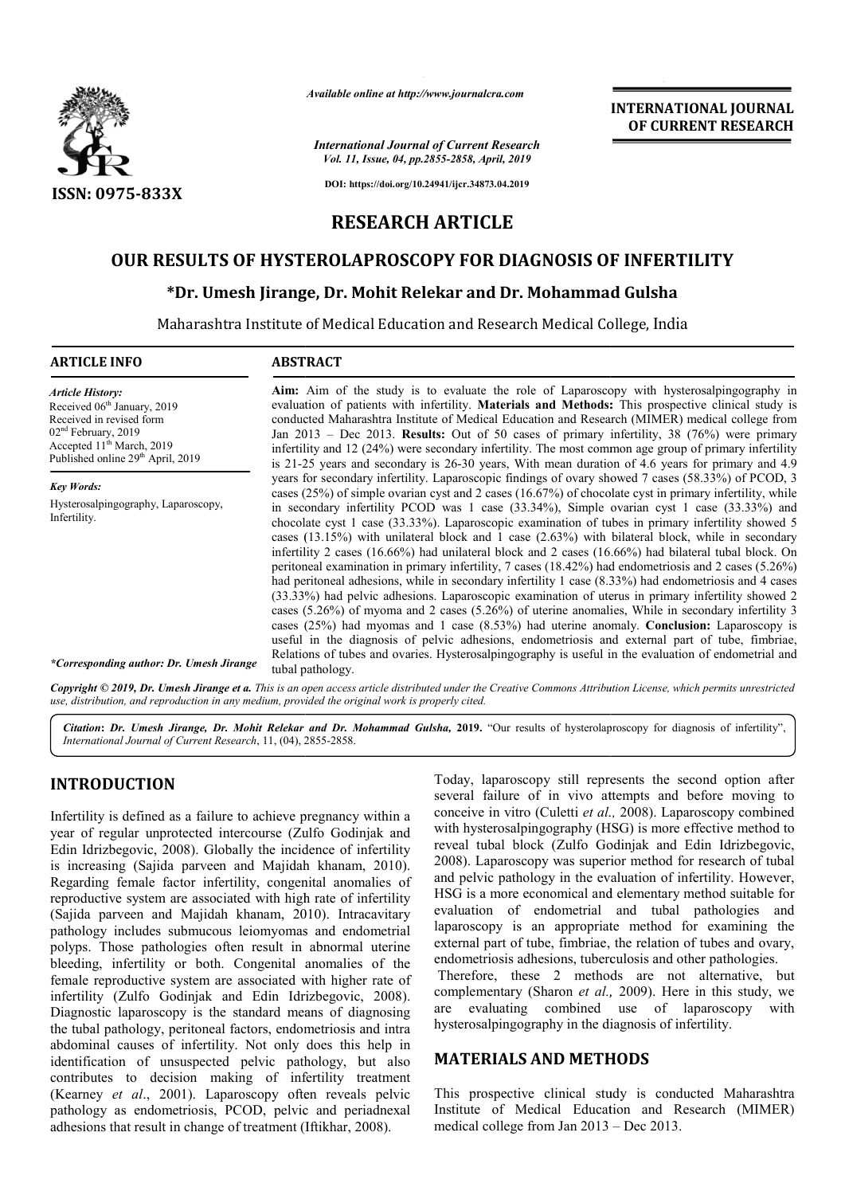

*Available online at http://www.journalcra.com*

*International Journal of Current Research Vol. 11, Issue, 04, pp.2855-2858, April, 2019*

**INTERNATIONAL JOURNAL OF CURRENT RESEARCH**

**DOI: https://doi.org/10.24941/ijcr.34873.04.2019**

# **RESEARCH ARTICLE**

# **OUR RESULTS OF HYSTEROLAPROSCOPY FOR DIAGNOSIS OF INFERTILITY**

# ESULTS OF HYSTEROLAPROSCOPY FOR DIAGNOSIS OF INFER<br>\*Dr. Umesh Jirange, Dr. Mohit Relekar and Dr. Mohammad Gulsha

Maharashtra Institute of Medical Education and Research Medical College, India

#### **ARTICLE INFO ABSTRACT**

Aim: Aim of the study is to evaluate the role of Laparoscopy with hysterosalpingography in evaluation of patients with infertility. Materials and Methods: This prospective clinical study is conducted Maharashtra Institute of Medical Education and Research (MIMER) medical college from conducted Maharashtra Institute of Medical Education and Research (MIMER) medical college from<br>Jan 2013 – Dec 2013. **Results:** Out of 50 cases of primary infertility, 38 (76%) were primary infertility and 12 (24%) were secondary infertility. The most common age group of primary infertility is 21-25 years and secondary is 26-30 years, With mean duration of 4.6 years for primary and 4.9 years for secondary infertility. Laparoscopic findings of ovary showed 7 cases (58.33%) of PCOD, 3 cases (25%) of simple ovarian cyst and 2 cases (16.67%) of chocolate cyst in primary infertility, while cases  $(25%)$  of simple ovarian cyst and 2 cases  $(16.67%)$  of chocolate cyst in primary infertility, while in secondary infertility PCOD was 1 case  $(33.34%)$ , Simple ovarian cyst 1 case  $(33.33%)$  and chocolate cyst 1 case (33.33%). Laparoscopic examination of tubes in primary infertility showed 5 cases (13.15%) with unilateral block and 1 case (2.63%) with bilateral block, while in secondary chocolate cyst 1 case (33.33%). Laparoscopic examination of tubes in primary infertility showed 5 cases (13.15%) with unilateral block and 1 case (2.63%) with bilateral block, while in secondary infertility 2 cases (16.66 peritoneal examination in primary infertility, 7 cases (18.42%) had endometriosis and 2 cases (5.26%) had peritoneal adhesions, while in secondary infertility 1 case (8.33%) had endometriosis and 4 cases had peritoneal adhesions, while in secondary infertility 1 case (8.33%) had endometriosis and 4 cases (33.33%) had pelvic adhesions. Laparoscopic examination of uterus in primary infertility showed 2 cases (5.26%) of myoma and 2 cases (5.26%) of uterine anomalies, While in secondary infertility 3 cases (25%) had myomas and 1 case (8.53%) had uterine anomaly. **Conclusion:** Laparoscopy is cases (25%) had myomas and 1 case (8.53%) had uterine anomaly. useful in the diagnosis of pelvic adhesions, endometriosis and external part of tube, fimbriae, useful in the diagnosis of pelvic adhesions, endometriosis and external part of tube, fimbriae, Relations of tubes and ovaries. Hysterosalpingography is useful in the evaluation of endometrial and tubal pathology. *Article History:* Received 06<sup>th</sup> January, 2019 Received in revised form 02<sup>nd</sup> February, 2019 Accepted 11<sup>th</sup> March, 2019 Published online 29<sup>th</sup> April, 2019 *Key Words:* Hysterosalpingography, Laparoscopy, Infertility. *\*Corresponding author: Dr. Umesh Jirange* infertility and 12 (24%) were secondary infertility. The most common age group of primary infertility<br>is 21-25 years and secondary is 26-30 years, With mean duration of 4.6 years for primary and 4.9<br>years for secondary inf

Copyright © 2019, Dr. Umesh Jirange et a. This is an open access article distributed under the Creative Commons Attribution License, which permits unrestricted *use, distribution, and reproduction in any medium, provided the original work is properly cited.*

Citation: Dr. Umesh Jirange, Dr. Mohit Relekar and Dr. Mohammad Gulsha, 2019. "Our results of hysterolaproscopy for diagnosis of infertility", *International Journal of Current Research*, 11, (04), 2855 2855-2858.

## **INTRODUCTION**

Infertility is defined as a failure to achieve pregnancy within a year of regular unprotected intercourse (Zulfo Godinjak and Edin Idrizbegovic, 2008). Globally the incidence of infertility Edin Idrizbegovic, 2008). Globally the incidence of infertility is increasing (Sajida parveen and Majidah khanam, 2010). Regarding female factor infertility, congenital anomalies of reproductive system are associated with high rate of infertility (Sajida parveen and Majidah khanam, 2010). Intracavitary pathology includes submucous leiomyomas and endometrial polyps. Those pathologies often result in abnormal uterine bleeding, infertility or both. Congenital anomalies of the female reproductive system are associated with higher rate of bleeding, infertility or both. Congenital anomalies of the female reproductive system are associated with higher rate of infertility (Zulfo Godinjak and Edin Idrizbegovic, 2008). Diagnostic laparoscopy is the standard means of diagnosing the tubal pathology, peritoneal factors, endometriosis and intra abdominal causes of infertility. Not only does this help in identification of unsuspected pelvic pathology, but also contributes to decision making of infertility treatment (Kearney *et al*., 2001). Laparoscopy often reveals pelvic pathology as endometriosis, PCOD, pelvic and periadnexal adhesions that result in change of treatment (Iftikhar, 2008). en reveals pel<br>c and periadne<br>(Iftikhar, 2008).

Today, laparoscopy still represents the second option after several failure of in vivo attempts and before moving to conceive in vitro (Culetti *et al.*, 2008). Laparoscopy combined with hysterosalpingography (HSG) is more effective method to with hysterosalpingography (HSG) is more effective method to<br>reveal tubal block (Zulfo Godinjak and Edin Idrizbegovic, 2008). Laparoscopy was superior method for research of tubal and pelvic pathology in the evaluation of infertility. However, HSG is a more economical and elementary method suitable for evaluation of endometrial and tubal pathologies and laparoscopy is an appropriate method for examining the external part of tube, fimbriae, the relation of tubes and ovary. endometriosis adhesions, tuberculosis and other pathologies. Today, laparoscopy still represents the second option after several failure of in vivo attempts and before moving to conceive in vitro (Culetti *et al.*, 2008). Laparoscopy combined 2008). Laparoscopy was superior method for research of tubal<br>and pelvic pathology in the evaluation of infertility. However,<br>HSG is a more economical and elementary method suitable for<br>evaluation of endometrial and tubel p

Therefore, these 2 methods are not alternative, but complementary (Sharon *et al.*, 2009). Here in this study, we are evaluating combined use of laparoscopy with hysterosalpingography in the diagnosis of infertility. hysterosalpingography in the diagnosis of infertility. pathologies.<br>are not alternative, but<br>2009). Here in this study, we

### **MATERIALS AND METHOD METHODS**

This prospective clinical study is conducted Maharashtra Institute of Medical Education and Research (MIMER) medical college from Jan 2013 – Dec 2013. ospective clinical study is conder<br>of Medical Education and Recollege from Jan 2013 – Dec 2013.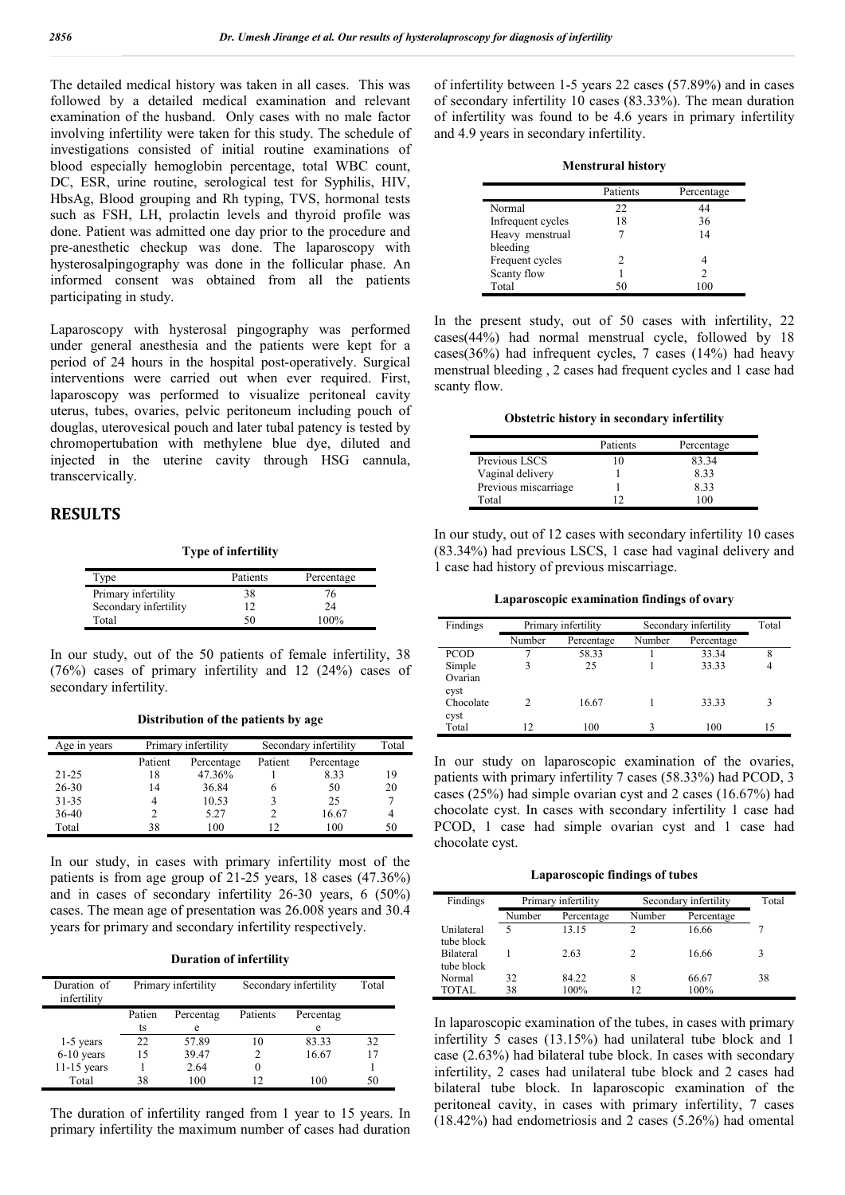The detailed medical history was taken in all cases. This was followed by a detailed medical examination and relevant examination of the husband. Only cases with no male factor involving infertility were taken for this study. The schedule of investigations consisted of initial routine examinations of blood especially hemoglobin percentage, total WBC count, DC, ESR, urine routine, serological test for Syphilis, HIV, HbsAg, Blood grouping and Rh typing, TVS, hormonal tests such as FSH, LH, prolactin levels and thyroid profile was done. Patient was admitted one day prior to the procedure and pre-anesthetic checkup was done. The laparoscopy with hysterosalpingography was done in the follicular phase. An informed consent was obtained from all the patients participating in study.

Laparoscopy with hysterosal pingography was performed under general anesthesia and the patients were kept for a period of 24 hours in the hospital post-operatively. Surgical interventions were carried out when ever required. First, laparoscopy was performed to visualize peritoneal cavity uterus, tubes, ovaries, pelvic peritoneum including pouch of douglas, uterovesical pouch and later tubal patency is tested by chromopertubation with methylene blue dye, diluted and injected in the uterine cavity through HSG cannula, transcervically.

#### **RESULTS**

**Type of infertility**

| Tvpe                  | Patients | Percentage |
|-----------------------|----------|------------|
| Primary infertility   | 38       | 76         |
| Secondary infertility | ר ו      | 24         |
| Total                 | 50       | 100%       |

In our study, out of the 50 patients of female infertility, 38 (76%) cases of primary infertility and 12 (24%) cases of secondary infertility.

**Distribution of the patients by age**

| Age in years | Primary infertility |            | Secondary infertility | Total      |    |
|--------------|---------------------|------------|-----------------------|------------|----|
|              | Patient             | Percentage | Patient               | Percentage |    |
| $21 - 25$    | 18                  | 47.36%     |                       | 8.33       | 19 |
| $26 - 30$    | 14                  | 36.84      | h                     | 50         | 20 |
| $31 - 35$    |                     | 10.53      |                       | 25         |    |
| $36-40$      |                     | 5.27       | 2                     | 16.67      | 4  |
| Total        | 38                  | 100        | 12                    | 100        | 50 |

In our study, in cases with primary infertility most of the patients is from age group of 21-25 years, 18 cases (47.36%) and in cases of secondary infertility 26-30 years, 6 (50%) cases. The mean age of presentation was 26.008 years and 30.4 years for primary and secondary infertility respectively.

| <b>Duration of infertility</b> |  |  |  |
|--------------------------------|--|--|--|
|--------------------------------|--|--|--|

| Duration of<br>infertility | Primary infertility |           | Secondary infertility |           | Total |
|----------------------------|---------------------|-----------|-----------------------|-----------|-------|
|                            | Patien              | Percentag | Patients              | Percentag |       |
|                            | ts                  | e         |                       | e         |       |
| 1-5 years                  | 22.                 | 57.89     | 10                    | 83.33     | 32    |
| $6-10$ years               | 15                  | 39.47     |                       | 16.67     |       |
| $11-15$ years              |                     | 2.64      | $\Omega$              |           |       |
| Total                      | 38                  | 100       |                       | 100       | 50    |

The duration of infertility ranged from 1 year to 15 years. In primary infertility the maximum number of cases had duration of infertility between 1-5 years 22 cases (57.89%) and in cases of secondary infertility 10 cases (83.33%). The mean duration of infertility was found to be 4.6 years in primary infertility and 4.9 years in secondary infertility.

|                   | Patients | Percentage |
|-------------------|----------|------------|
| Normal            | 22       | 44         |
| Infrequent cycles | 18       | 36         |
| Heavy menstrual   |          | 14         |
| bleeding          |          |            |
| Frequent cycles   | 2        |            |
| Scanty flow       |          |            |
| Total             |          |            |

In the present study, out of 50 cases with infertility, 22 cases(44%) had normal menstrual cycle, followed by 18 cases(36%) had infrequent cycles, 7 cases (14%) had heavy menstrual bleeding , 2 cases had frequent cycles and 1 case had scanty flow.

**Obstetric history in secondary infertility**

|                      | Patients | Percentage |
|----------------------|----------|------------|
| Previous LSCS        |          | 83.34      |
| Vaginal delivery     |          | 8.33       |
| Previous miscarriage |          | 8.33       |
| Total                |          |            |

In our study, out of 12 cases with secondary infertility 10 cases (83.34%) had previous LSCS, 1 case had vaginal delivery and 1 case had history of previous miscarriage.

**Laparoscopic examination findings of ovary**

| Findings        | Primary infertility<br>Number<br>Percentage |       | Secondary infertility | Total |    |
|-----------------|---------------------------------------------|-------|-----------------------|-------|----|
|                 |                                             |       | Number<br>Percentage  |       |    |
| <b>PCOD</b>     |                                             | 58.33 |                       | 33.34 | 8  |
| Simple          |                                             | 25    |                       | 33.33 |    |
| Ovarian<br>cyst |                                             |       |                       |       |    |
| Chocolate       | C                                           | 16.67 |                       | 33.33 | 3  |
| cyst            |                                             |       |                       |       |    |
| Total           | 12                                          | 100   |                       | 100   | 15 |

In our study on laparoscopic examination of the ovaries, patients with primary infertility 7 cases (58.33%) had PCOD, 3 cases (25%) had simple ovarian cyst and 2 cases (16.67%) had chocolate cyst. In cases with secondary infertility 1 case had PCOD, 1 case had simple ovarian cyst and 1 case had chocolate cyst.

**Laparoscopic findings of tubes**

| Findings                       | Primary infertility |               | Secondary infertility | Total         |    |
|--------------------------------|---------------------|---------------|-----------------------|---------------|----|
|                                | Number              | Percentage    | Number                | Percentage    |    |
| Unilateral<br>tube block       | 5                   | 13.15         | 2                     | 16.66         |    |
| <b>Bilateral</b><br>tube block |                     | 2.63          |                       | 16.66         | 3  |
| Normal<br>TOTAL.               | 32<br>38            | 84.22<br>100% | 12                    | 66.67<br>100% | 38 |

In laparoscopic examination of the tubes, in cases with primary infertility 5 cases (13.15%) had unilateral tube block and 1 case (2.63%) had bilateral tube block. In cases with secondary infertility, 2 cases had unilateral tube block and 2 cases had bilateral tube block. In laparoscopic examination of the peritoneal cavity, in cases with primary infertility, 7 cases (18.42%) had endometriosis and 2 cases (5.26%) had omental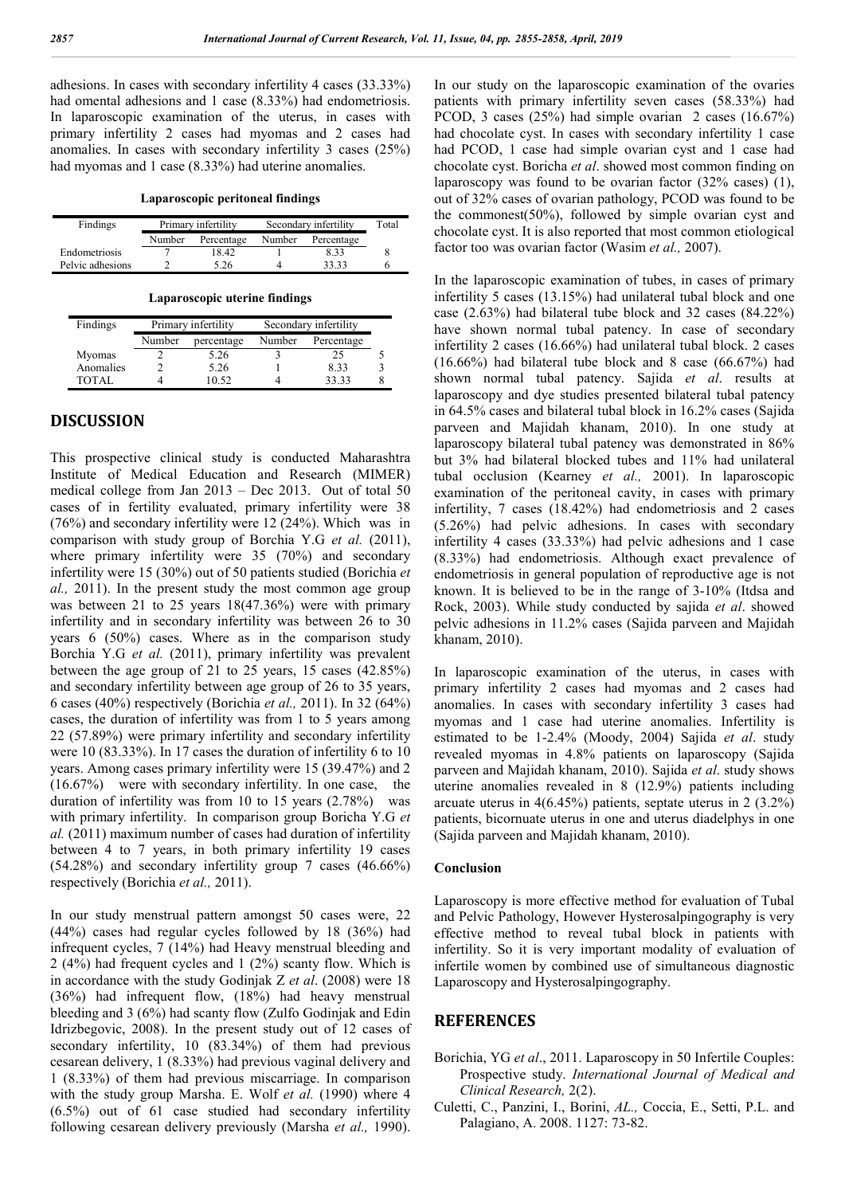adhesions. In cases with secondary infertility 4 cases (33.33%) had omental adhesions and 1 case (8.33%) had endometriosis. In laparoscopic examination of the uterus, in cases with primary infertility 2 cases had myomas and 2 cases had anomalies. In cases with secondary infertility 3 cases (25%) had myomas and 1 case (8.33%) had uterine anomalies.

**Laparoscopic peritoneal findings**

| Findings         | Primary infertility |            | Secondary infertility | Total      |  |
|------------------|---------------------|------------|-----------------------|------------|--|
|                  | Number              | Percentage | Number                | Percentage |  |
| Endometriosis    |                     | 18.42      |                       | 8.33       |  |
| Pelvic adhesions |                     | 5.26       |                       | 33 33      |  |

**Laparoscopic uterine findings**

| Findings  | Primary infertility |            | Secondary infertility |            |  |
|-----------|---------------------|------------|-----------------------|------------|--|
|           | Number              | percentage | Number                | Percentage |  |
| Myomas    |                     | 5.26       |                       | 25         |  |
| Anomalies |                     | 5.26       |                       | 8.33       |  |
| TOTAL     |                     | 10.52      |                       | 33 33      |  |

#### **DISCUSSION**

This prospective clinical study is conducted Maharashtra Institute of Medical Education and Research (MIMER) medical college from Jan 2013 – Dec 2013. Out of total 50 cases of in fertility evaluated, primary infertility were 38 (76%) and secondary infertility were 12 (24%). Which was in comparison with study group of Borchia Y.G *et al.* (2011), where primary infertility were 35 (70%) and secondary infertility were 15 (30%) out of 50 patients studied (Borichia *et al.,* 2011). In the present study the most common age group was between 21 to 25 years 18(47.36%) were with primary infertility and in secondary infertility was between 26 to 30 years 6 (50%) cases. Where as in the comparison study Borchia Y.G *et al.* (2011), primary infertility was prevalent between the age group of 21 to 25 years, 15 cases (42.85%) and secondary infertility between age group of 26 to 35 years, 6 cases (40%) respectively (Borichia *et al.,* 2011). In 32 (64%) cases, the duration of infertility was from 1 to 5 years among 22 (57.89%) were primary infertility and secondary infertility were 10 (83.33%). In 17 cases the duration of infertility 6 to 10 years. Among cases primary infertility were 15 (39.47%) and 2 (16.67%) were with secondary infertility. In one case, the duration of infertility was from 10 to 15 years (2.78%) was with primary infertility. In comparison group Boricha Y.G *et al.* (2011) maximum number of cases had duration of infertility between 4 to 7 years, in both primary infertility 19 cases (54.28%) and secondary infertility group 7 cases (46.66%) respectively (Borichia *et al.,* 2011).

In our study menstrual pattern amongst 50 cases were, 22 (44%) cases had regular cycles followed by 18 (36%) had infrequent cycles, 7 (14%) had Heavy menstrual bleeding and 2 (4%) had frequent cycles and 1 (2%) scanty flow. Which is in accordance with the study Godinjak Z *et al*. (2008) were 18 (36%) had infrequent flow, (18%) had heavy menstrual bleeding and 3 (6%) had scanty flow (Zulfo Godinjak and Edin Idrizbegovic, 2008). In the present study out of 12 cases of secondary infertility, 10 (83.34%) of them had previous cesarean delivery, 1 (8.33%) had previous vaginal delivery and 1 (8.33%) of them had previous miscarriage. In comparison with the study group Marsha. E. Wolf *et al.* (1990) where 4 (6.5%) out of 61 case studied had secondary infertility following cesarean delivery previously (Marsha *et al.,* 1990).

In our study on the laparoscopic examination of the ovaries patients with primary infertility seven cases (58.33%) had PCOD, 3 cases (25%) had simple ovarian 2 cases (16.67%) had chocolate cyst. In cases with secondary infertility 1 case had PCOD, 1 case had simple ovarian cyst and 1 case had chocolate cyst. Boricha *et al*. showed most common finding on laparoscopy was found to be ovarian factor (32% cases) (1), out of 32% cases of ovarian pathology, PCOD was found to be the commonest(50%), followed by simple ovarian cyst and chocolate cyst. It is also reported that most common etiological factor too was ovarian factor (Wasim *et al.,* 2007).

In the laparoscopic examination of tubes, in cases of primary infertility 5 cases (13.15%) had unilateral tubal block and one case (2.63%) had bilateral tube block and 32 cases (84.22%) have shown normal tubal patency. In case of secondary infertility 2 cases (16.66%) had unilateral tubal block. 2 cases (16.66%) had bilateral tube block and 8 case (66.67%) had shown normal tubal patency. Sajida *et al*. results at laparoscopy and dye studies presented bilateral tubal patency in 64.5% cases and bilateral tubal block in 16.2% cases (Sajida parveen and Majidah khanam, 2010). In one study at laparoscopy bilateral tubal patency was demonstrated in 86% but 3% had bilateral blocked tubes and 11% had unilateral tubal occlusion (Kearney *et al.,* 2001). In laparoscopic examination of the peritoneal cavity, in cases with primary infertility, 7 cases (18.42%) had endometriosis and 2 cases (5.26%) had pelvic adhesions. In cases with secondary infertility 4 cases (33.33%) had pelvic adhesions and 1 case (8.33%) had endometriosis. Although exact prevalence of endometriosis in general population of reproductive age is not known. It is believed to be in the range of 3-10% (Itdsa and Rock, 2003). While study conducted by sajida *et al*. showed pelvic adhesions in 11.2% cases (Sajida parveen and Majidah khanam, 2010).

In laparoscopic examination of the uterus, in cases with primary infertility 2 cases had myomas and 2 cases had anomalies. In cases with secondary infertility 3 cases had myomas and 1 case had uterine anomalies. Infertility is estimated to be 1-2.4% (Moody, 2004) Sajida *et al*. study revealed myomas in 4.8% patients on laparoscopy (Sajida parveen and Majidah khanam, 2010). Sajida *et al*. study shows uterine anomalies revealed in 8 (12.9%) patients including arcuate uterus in 4(6.45%) patients, septate uterus in 2 (3.2%) patients, bicornuate uterus in one and uterus diadelphys in one (Sajida parveen and Majidah khanam, 2010).

#### **Conclusion**

Laparoscopy is more effective method for evaluation of Tubal and Pelvic Pathology, However Hysterosalpingography is very effective method to reveal tubal block in patients with infertility. So it is very important modality of evaluation of infertile women by combined use of simultaneous diagnostic Laparoscopy and Hysterosalpingography.

#### **REFERENCES**

- Borichia, YG *et al*., 2011. Laparoscopy in 50 Infertile Couples: Prospective study. *International Journal of Medical and Clinical Research,* 2(2).
- Culetti, C., Panzini, I., Borini, *AL.,* Coccia, E., Setti, P.L. and Palagiano, A. 2008. 1127: 73-82.